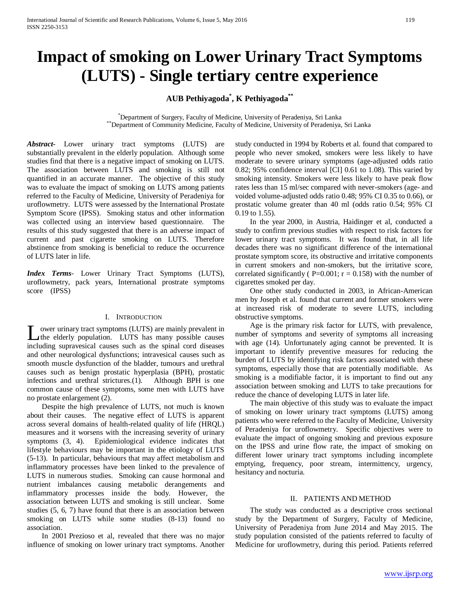# **Impact of smoking on Lower Urinary Tract Symptoms (LUTS) - Single tertiary centre experience**

# **AUB Pethiyagoda\* , K Pethiyagoda\*\***

\* Department of Surgery, Faculty of Medicine, University of Peradeniya, Sri Lanka \*\*Department of Community Medicine, Faculty of Medicine, University of Peradeniya, Sri Lanka

*Abstract***-** Lower urinary tract symptoms (LUTS) are substantially prevalent in the elderly population. Although some studies find that there is a negative impact of smoking on LUTS. The association between LUTS and smoking is still not quantified in an accurate manner. The objective of this study was to evaluate the impact of smoking on LUTS among patients referred to the Faculty of Medicine, University of Peradeniya for uroflowmetry. LUTS were assessed by the International Prostate Symptom Score (IPSS). Smoking status and other information was collected using an interview based questionnaire. The results of this study suggested that there is an adverse impact of current and past cigarette smoking on LUTS. Therefore abstinence from smoking is beneficial to reduce the occurrence of LUTS later in life.

*Index Terms*- Lower Urinary Tract Symptoms (LUTS), uroflowmetry, pack years, International prostrate symptoms score (IPSS)

#### I. INTRODUCTION

ower urinary tract symptoms (LUTS) are mainly prevalent in the elderly population. LUTS has many possible causes Lower urinary tract symptoms (LUTS) are mainly prevalent in the elderly population. LUTS has many possible causes including supravesical causes such as the spinal cord diseases and other neurological dysfunctions; intravesical causes such as smooth muscle dysfunction of the bladder, tumours and urethral causes such as benign prostatic hyperplasia (BPH), prostatic infections and urethral strictures.(1). Although BPH is one common cause of these symptoms, some men with LUTS have no prostate enlargement (2).

 Despite the high prevalence of LUTS, not much is known about their causes. The negative effect of LUTS is apparent across several domains of health-related quality of life (HRQL) measures and it worsens with the increasing severity of urinary symptoms (3, 4). Epidemiological evidence indicates that lifestyle behaviours may be important in the etiology of LUTS (5-13). In particular, behaviours that may affect metabolism and inflammatory processes have been linked to the prevalence of LUTS in numerous studies. Smoking can cause hormonal and nutrient imbalances causing metabolic derangements and inflammatory processes inside the body. However, the association between LUTS and smoking is still unclear. Some studies (5, 6, 7) have found that there is an association between smoking on LUTS while some studies (8-13) found no association.

 In 2001 Prezioso et al, revealed that there was no major influence of smoking on lower urinary tract symptoms. Another study conducted in 1994 by Roberts et al. found that compared to people who never smoked, smokers were less likely to have moderate to severe urinary symptoms (age-adjusted odds ratio 0.82; 95% confidence interval [CI] 0.61 to 1.08). This varied by smoking intensity. Smokers were less likely to have peak flow rates less than 15 ml/sec compared with never-smokers (age- and voided volume-adjusted odds ratio 0.48; 95% CI 0.35 to 0.66), or prostatic volume greater than 40 ml (odds ratio 0.54; 95% CI 0.19 to 1.55).

 In the year 2000, in Austria, Haidinger et al, conducted a study to confirm previous studies with respect to risk factors for lower urinary tract symptoms. It was found that, in all life decades there was no significant difference of the international prostate symptom score, its obstructive and irritative components in current smokers and non-smokers, but the irritative score, correlated significantly ( $P=0.001$ ;  $r = 0.158$ ) with the number of cigarettes smoked per day.

 One other study conducted in 2003, in African-American men by Joseph et al. found that current and former smokers were at increased risk of moderate to severe LUTS, including obstructive symptoms.

 Age is the primary risk factor for LUTS, with prevalence, number of symptoms and severity of symptoms all increasing with age (14). Unfortunately aging cannot be prevented. It is important to identify preventive measures for reducing the burden of LUTS by identifying risk factors associated with these symptoms, especially those that are potentially modifiable. As smoking is a modifiable factor, it is important to find out any association between smoking and LUTS to take precautions for reduce the chance of developing LUTS in later life.

 The main objective of this study was to evaluate the impact of smoking on lower urinary tract symptoms (LUTS) among patients who were referred to the Faculty of Medicine, University of Peradeniya for uroflowmetry. Specific objectives were to evaluate the impact of ongoing smoking and previous exposure on the IPSS and urine flow rate, the impact of smoking on different lower urinary tract symptoms including incomplete emptying, frequency, poor stream, intermittency, urgency, hesitancy and nocturia.

### II. PATIENTS AND METHOD

 The study was conducted as a descriptive cross sectional study by the Department of Surgery, Faculty of Medicine, University of Peradeniya from June 2014 and May 2015. The study population consisted of the patients referred to faculty of Medicine for uroflowmetry, during this period. Patients referred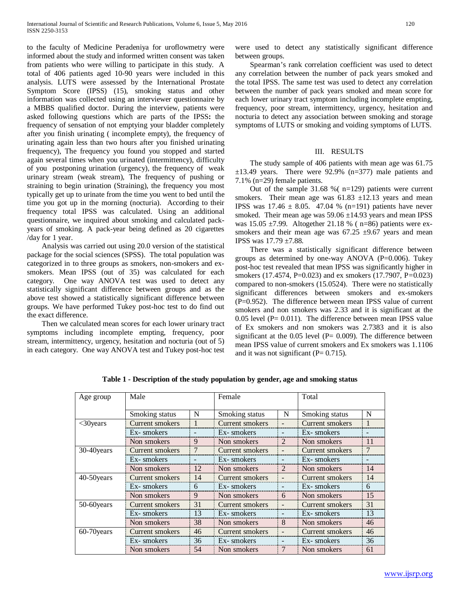to the faculty of Medicine Peradeniya for uroflowmetry were informed about the study and informed written consent was taken from patients who were willing to participate in this study. A total of 406 patients aged 10-90 years were included in this analysis. LUTS were assessed by the International Prostate Symptom Score (IPSS) (15), smoking status and other information was collected using an interviewer questionnaire by a MBBS qualified doctor. During the interview, patients were asked following questions which are parts of the IPSS**:** the frequency of sensation of not emptying your bladder completely after you finish urinating ( incomplete empty), the frequency of urinating again less than two hours after you finished urinating frequency), The frequency you found you stopped and started again several times when you urinated (intermittency), difficulty of you postponing urination (urgency), the frequency of weak urinary stream (weak stream), The frequency of pushing or straining to begin urination (Straining), the frequency you most typically get up to urinate from the time you went to bed until the time you got up in the morning (nocturia). According to their frequency total IPSS was calculated. Using an additional questionnaire, we inquired about smoking and calculated packyears of smoking. A pack-year being defined as 20 cigarettes /day for 1 year.

 Analysis was carried out using 20.0 version of the statistical package for the social sciences (SPSS). The total population was categorized in to three groups as smokers, non-smokers and exsmokers. Mean IPSS (out of 35) was calculated for each category. One way ANOVA test was used to detect any statistically significant difference between groups and as the above test showed a statistically significant difference between groups. We have performed Tukey post-hoc test to do find out the exact difference.

 Then we calculated mean scores for each lower urinary tract symptoms including incomplete empting, frequency, poor stream, intermittency, urgency, hesitation and nocturia (out of 5) in each category. One way ANOVA test and Tukey post-hoc test were used to detect any statistically significant difference between groups.

 Spearman's rank correlation coefficient was used to detect any correlation between the number of pack years smoked and the total IPSS. The same test was used to detect any correlation between the number of pack years smoked and mean score for each lower urinary tract symptom including incomplete empting, frequency, poor stream, intermittency, urgency, hesitation and nocturia to detect any association between smoking and storage symptoms of LUTS or smoking and voiding symptoms of LUTS.

## III. RESULTS

 The study sample of 406 patients with mean age was 61.75  $\pm$ 13.49 years. There were 92.9% (n=377) male patients and 7.1% (n=29) female patients.

Out of the sample  $31.68 \%$  (n=129) patients were current smokers. Their mean age was  $61.83 \pm 12.13$  years and mean **IPSS** was  $17.46 \pm 8.05$ . 47.04 % (n=191) patients have never smoked. Their mean age was 59.06 ±14.93 years and mean IPSS was  $15.05 \pm 7.99$ . Altogether 21.18 % ( n=86) patients were exsmokers and their mean age was  $67.25 \pm 9.67$  years and mean IPSS was 17.79 ±7.88.

 There was a statistically significant difference between groups as determined by one-way ANOVA (P=0.006). Tukey post-hoc test revealed that mean IPSS was significantly higher in smokers (17.4574, P=0.023) and ex smokers (17.7907, P*=*0.023) compared to non-smokers (15.0524). There were no statistically significant differences between smokers and ex-smokers (P=0.952). The difference between mean IPSS value of current smokers and non smokers was 2.33 and it is significant at the  $0.05$  level (P=  $0.011$ ). The difference between mean IPSS value of Ex smokers and non smokers was 2.7383 and it is also significant at the  $0.05$  level (P=  $0.009$ ). The difference between mean IPSS value of current smokers and Ex smokers was 1.1106 and it was not significant  $(P= 0.715)$ .

| Age group    | Male                   |    | Female          |   | Total           |    |
|--------------|------------------------|----|-----------------|---|-----------------|----|
|              |                        |    |                 |   |                 |    |
|              | Smoking status         | N  | Smoking status  | N | Smoking status  | N  |
| $<$ 30 years | <b>Current smokers</b> | 1  | Current smokers |   | Current smokers | 1  |
|              | Ex-smokers             |    | Ex-smokers      |   | Ex-smokers      |    |
|              | Non smokers            | 9  | Non smokers     | 2 | Non smokers     | 11 |
| 30-40 years  | Current smokers        | 7  | Current smokers |   | Current smokers | 7  |
|              | Ex-smokers             |    | Ex-smokers      |   | Ex-smokers      |    |
|              | Non smokers            | 12 | Non smokers     | 2 | Non smokers     | 14 |
| 40-50 years  | Current smokers        | 14 | Current smokers |   | Current smokers | 14 |
|              | Ex-smokers             | 6  | Ex-smokers      |   | Ex-smokers      | 6  |
|              | Non smokers            | 9  | Non smokers     | 6 | Non smokers     | 15 |
| 50-60years   | Current smokers        | 31 | Current smokers |   | Current smokers | 31 |
|              | Ex-smokers             | 13 | Ex-smokers      |   | Ex-smokers      | 13 |
|              | Non smokers            | 38 | Non smokers     | 8 | Non smokers     | 46 |
| 60-70 years  | Current smokers        | 46 | Current smokers |   | Current smokers | 46 |
|              | Ex-smokers             | 36 | Ex-smokers      |   | Ex-smokers      | 36 |
|              | Non smokers            | 54 | Non smokers     | 7 | Non smokers     | 61 |

**Table 1 - Description of the study population by gender, age and smoking status**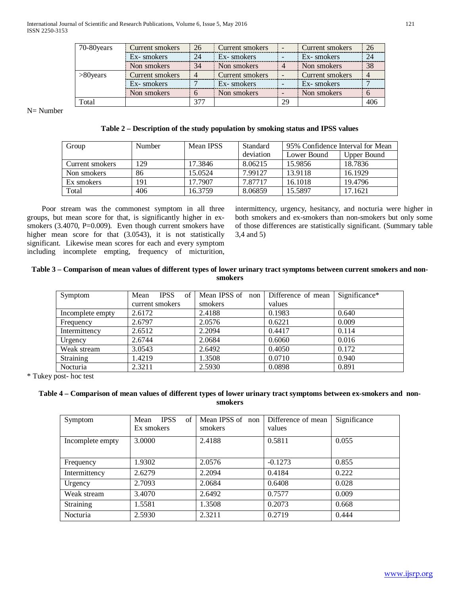| 70-80 years | Current smokers | 26  | Current smokers |    | Current smokers | 26  |
|-------------|-----------------|-----|-----------------|----|-----------------|-----|
|             | Ex-smokers      | 24  | Ex-smokers      |    | Ex-smokers      | 24  |
|             | Non smokers     | 34  | Non smokers     |    | Non smokers     | 38  |
| $>80$ years | Current smokers | 4   | Current smokers |    | Current smokers |     |
|             | Ex-smokers      |     | Ex-smokers      |    | Ex-smokers      |     |
|             | Non smokers     |     | Non smokers     |    | Non smokers     |     |
| Гоtal       |                 | 377 |                 | 29 |                 | 406 |

N= Number

# **Table 2 – Description of the study population by smoking status and IPSS values**

| Group           | <b>Number</b> | Mean IPSS | Standard  | 95% Confidence Interval for Mean |             |
|-----------------|---------------|-----------|-----------|----------------------------------|-------------|
|                 |               |           | deviation | Lower Bound                      | Upper Bound |
| Current smokers | 129           | 17.3846   | 8.06215   | 15.9856                          | 18.7836     |
| Non smokers     | 86            | 15.0524   | 7.99127   | 13.9118                          | 16.1929     |
| Ex smokers      | 191           | 17.7907   | 7.87717   | 16.1018                          | 19.4796     |
| Total           | 406           | 16.3759   | 8.06859   | 15.5897                          | 17.1621     |

 Poor stream was the commonest symptom in all three groups, but mean score for that, is significantly higher in exsmokers (3.4070, P=0.009). Even though current smokers have higher mean score for that (3.0543), it is not statistically significant. Likewise mean scores for each and every symptom including incomplete empting, frequency of micturition, intermittency, urgency, hesitancy, and nocturia were higher in both smokers and ex-smokers than non-smokers but only some of those differences are statistically significant. (Summary table 3,4 and 5)

# **Table 3 – Comparison of mean values of different types of lower urinary tract symptoms between current smokers and nonsmokers**

| Symptom          | of<br>Mean<br><b>IPSS</b> | Mean IPSS of non | Difference of mean | Significance* |
|------------------|---------------------------|------------------|--------------------|---------------|
|                  | current smokers           | smokers          | values             |               |
| Incomplete empty | 2.6172                    | 2.4188           | 0.1983             | 0.640         |
| Frequency        | 2.6797                    | 2.0576           | 0.6221             | 0.009         |
| Intermittency    | 2.6512                    | 2.2094           | 0.4417             | 0.114         |
| Urgency          | 2.6744                    | 2.0684           | 0.6060             | 0.016         |
| Weak stream      | 3.0543                    | 2.6492           | 0.4050             | 0.172         |
| Straining        | 1.4219                    | 1.3508           | 0.0710             | 0.940         |
| Nocturia         | 2.3211                    | 2.5930           | 0.0898             | 0.891         |

\* Tukey post- hoc test

# **Table 4 – Comparison of mean values of different types of lower urinary tract symptoms between ex-smokers and nonsmokers**

| Symptom          | <b>IPSS</b><br>Mean<br>of<br>Ex smokers | Mean IPSS of non<br>smokers | Difference of mean<br>values | Significance |
|------------------|-----------------------------------------|-----------------------------|------------------------------|--------------|
| Incomplete empty | 3.0000                                  | 2.4188                      | 0.5811                       | 0.055        |
| Frequency        | 1.9302                                  | 2.0576                      | $-0.1273$                    | 0.855        |
| Intermittency    | 2.6279                                  | 2.2094                      | 0.4184                       | 0.222        |
| Urgency          | 2.7093                                  | 2.0684                      | 0.6408                       | 0.028        |
| Weak stream      | 3.4070                                  | 2.6492                      | 0.7577                       | 0.009        |
| Straining        | 1.5581                                  | 1.3508                      | 0.2073                       | 0.668        |
| Nocturia         | 2.5930                                  | 2.3211                      | 0.2719                       | 0.444        |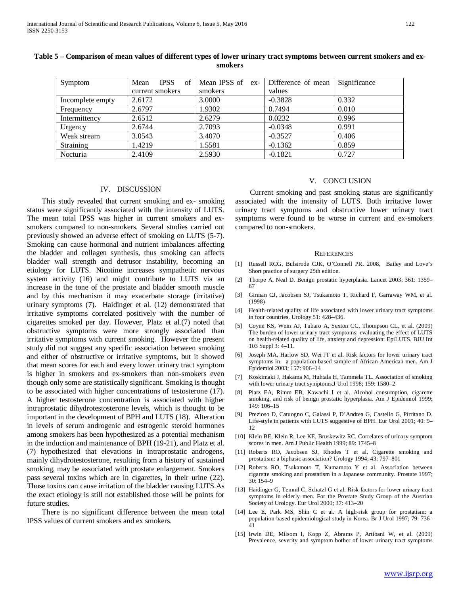| Symptom          | <b>IPSS</b><br>of<br>Mean | Mean IPSS of ex- | Difference of mean | Significance |
|------------------|---------------------------|------------------|--------------------|--------------|
|                  | current smokers           | smokers          | values             |              |
| Incomplete empty | 2.6172                    | 3.0000           | $-0.3828$          | 0.332        |
| Frequency        | 2.6797                    | 1.9302           | 0.7494             | 0.010        |
| Intermittency    | 2.6512                    | 2.6279           | 0.0232             | 0.996        |
| Urgency          | 2.6744                    | 2.7093           | $-0.0348$          | 0.991        |
| Weak stream      | 3.0543                    | 3.4070           | $-0.3527$          | 0.406        |
| Straining        | 1.4219                    | 1.5581           | $-0.1362$          | 0.859        |
| Nocturia         | 2.4109                    | 2.5930           | $-0.1821$          | 0.727        |

## **Table 5 – Comparison of mean values of different types of lower urinary tract symptoms between current smokers and exsmokers**

#### IV. DISCUSSION

 This study revealed that current smoking and ex- smoking status were significantly associated with the intensity of LUTS. The mean total IPSS was higher in current smokers and exsmokers compared to non-smokers. Several studies carried out previously showed an adverse effect of smoking on LUTS (5-7). Smoking can cause hormonal and nutrient imbalances affecting the bladder and collagen synthesis, thus smoking can affects bladder wall strength and detrusor instability, becoming an etiology for LUTS. Nicotine increases sympathetic nervous system activity (16) and might contribute to LUTS via an increase in the tone of the prostate and bladder smooth muscle and by this mechanism it may exacerbate storage (irritative) urinary symptoms (7). Haidinger et al. (12) demonstrated that irritative symptoms correlated positively with the number of cigarettes smoked per day. However, Platz et al.(7) noted that obstructive symptoms were more strongly associated than irritative symptoms with current smoking. However the present study did not suggest any specific association between smoking and either of obstructive or irritative symptoms, but it showed that mean scores for each and every lower urinary tract symptom is higher in smokers and ex-smokers than non-smokers even though only some are statistically significant. Smoking is thought to be associated with higher concentrations of testosterone (17). A higher testosterone concentration is associated with higher intraprostatic dihydrotestosterone levels, which is thought to be important in the development of BPH and LUTS (18). Alteration in levels of serum androgenic and estrogenic steroid hormones among smokers has been hypothesized as a potential mechanism in the induction and maintenance of BPH (19-21), and Platz et al. (7) hypothesized that elevations in intraprostatic androgens, mainly dihydrotestosterone, resulting from a history of sustained smoking, may be associated with prostate enlargement. Smokers pass several toxins which are in cigarettes, in their urine (22). Those toxins can cause irritation of the bladder causing LUTS.As the exact etiology is still not established those will be points for future studies.

 There is no significant difference between the mean total IPSS values of current smokers and ex smokers.

#### V. CONCLUSION

 Current smoking and past smoking status are significantly associated with the intensity of LUTS. Both irritative lower urinary tract symptoms and obstructive lower urinary tract symptoms were found to be worse in current and ex-smokers compared to non-smokers.

#### **REFERENCES**

- [1] Russell RCG, Bulstrode CJK, O'Connell PR. 2008, Bailey and Love's Short practice of surgery 25th edition.
- [2] Thorpe A, Neal D. Benign prostatic hyperplasia. Lancet 2003; 361: 1359– 67
- [3] Girman CJ, Jacobsen SJ, Tsukamoto T, Richard F, Garraway WM, et al. (1998)
- [4] Health-related quality of life associated with lower urinary tract symptoms in four countries. Urology 51: 428–436.
- [5] Coyne KS, Wein AJ, Tubaro A, Sexton CC, Thompson CL, et al. (2009) The burden of lower urinary tract symptoms: evaluating the effect of LUTS on health-related quality of life, anxiety and depression: EpiLUTS. BJU Int 103 Suppl 3: 4–11.
- [6] Joseph MA, Harlow SD, Wei JT et al. Risk factors for lower urinary tract symptoms in a population-based sample of African-American men. Am J Epidemiol 2003; 157: 906–14
- [7] Koskimaki J, Hakama M, Huhtala H, Tammela TL. Association of smoking with lower urinary tract symptoms.J Urol 1998; 159: 1580–2
- [8] Platz EA, Rimm EB, Kawachi I et al. Alcohol consumption, cigarette smoking, and risk of benign prostatic hyperplasia. Am J Epidemiol 1999; 149: 106–15
- [9] Prezioso D, Catuogno C, Galassi P, D'Andrea G, Castello G, Pirritano D. Life-style in patients with LUTS suggestive of BPH. Eur Urol 2001; 40: 9– 12
- [10] Klein BE, Klein R, Lee KE, Bruskewitz RC. Correlates of urinary symptom scores in men. Am J Public Health 1999; 89: 1745–8
- [11] Roberts RO, Jacobsen SJ, Rhodes T et al. Cigarette smoking and prostatism: a biphasic association? Urology 1994; 43: 797–801
- [12] Roberts RO, Tsukamoto T, Kumamoto Y et al. Association between cigarette smoking and prostatism in a Japanese community. Prostate 1997; 30: 154–9
- [13] Haidinger G, Temml C, Schatzl G et al. Risk factors for lower urinary tract symptoms in elderly men. For the Prostate Study Group of the Austrian Society of Urology. Eur Urol 2000; 37: 413–20
- [14] Lee E, Park MS, Shin C et al. A high-risk group for prostatism: a population-based epidemiological study in Korea. Br J Urol 1997; 79: 736– 41
- [15] Irwin DE, Milsom I, Kopp Z, Abrams P, Artibani W, et al. (2009) Prevalence, severity and symptom bother of lower urinary tract symptoms